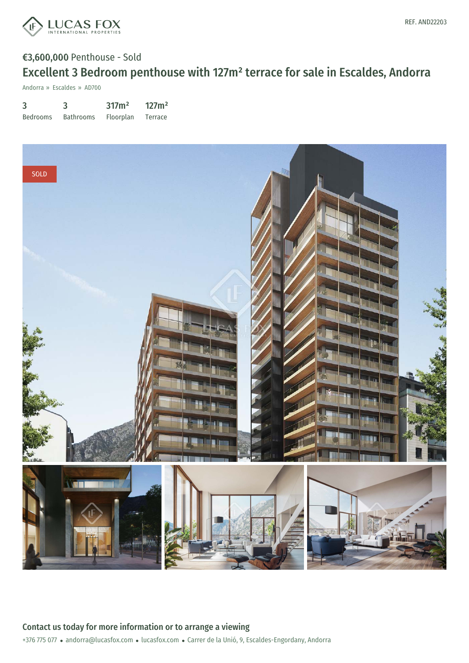

# €3,600,000 Penthouse - Sold Excellent 3 Bedroom penthouse with 127m² terrace for sale in Escaldes, Andorra

Andorra » Escaldes » AD700

| 3               | 3                | 317m <sup>2</sup> | 127m <sup>2</sup> |
|-----------------|------------------|-------------------|-------------------|
| <b>Bedrooms</b> | <b>Bathrooms</b> | Floorplan         | Terrace           |

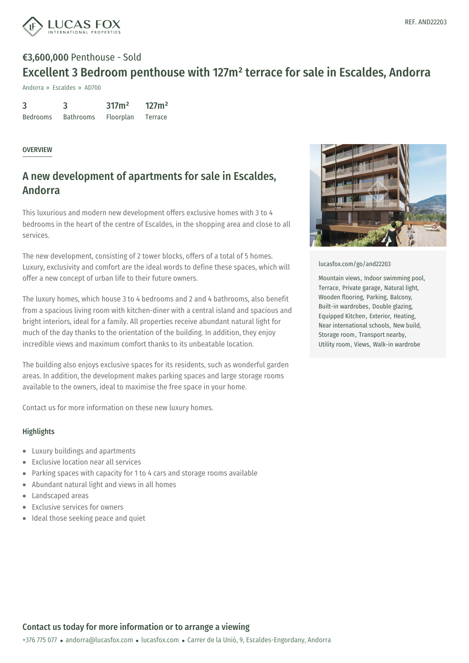

# €3,600,000 Penthouse - Sold Excellent 3 Bedroom penthouse with 127m² terrace for sale in Escaldes, Andorra

Andorra » Escaldes » AD700

| $\overline{3}$  | 3                | 317m <sup>2</sup> | 127m <sup>2</sup> |
|-----------------|------------------|-------------------|-------------------|
| <b>Bedrooms</b> | <b>Bathrooms</b> | Floorplan         | Terrace           |

#### OVERVIEW

### A new development of apartments for sale in Escaldes, Andorra

This luxurious and modern new development offers exclusive homes with 3 to 4 bedrooms in the heart of the centre of Escaldes, in the shopping area and close to all services.

The new development, consisting of 2 tower blocks, offers of a total of 5 homes. Luxury, exclusivity and comfort are the ideal words to define these spaces, which will offer a new concept of urban life to their future owners.

The luxury homes, which house 3 to 4 bedrooms and 2 and 4 bathrooms, also benefit from a spacious living room with kitchen-diner with a central island and spacious and bright interiors, ideal for a family. All properties receive abundant natural light for much of the day thanks to the orientation of the building. In addition, they enjoy incredible views and maximum comfort thanks to its unbeatable location.

The building also enjoys exclusive spaces for its residents, such as wonderful garden areas. In addition, the development makes parking spaces and large storage rooms available to the owners, ideal to maximise the free space in your home.

Contact us for more information on these new luxury homes.

### **Highlights**

- Luxury buildings and apartments
- Exclusive location near all services
- Parking spaces with capacity for 1 to 4 cars and storage rooms available  $\bullet$
- Abundant natural light and views in all homes  $\bullet$
- Landscaped [areas](mailto:andorra@lucasfox.com)  $\bullet$
- Exclusive services for owners  $\bullet$
- Ideal those seeking peace and quiet



[lucasfox.com/go/and22203](https://www.lucasfox.com/go/and22203)

Mountain views, Indoor swimming pool, Terrace, Private garage, Natural light, Wooden flooring, Parking, Balcony, Built-in wardrobes, Double glazing, Equipped Kitchen, Exterior, Heating, Near international schools, New build, Storage room, Transport nearby, Utility room, Views, Walk-in wardrobe